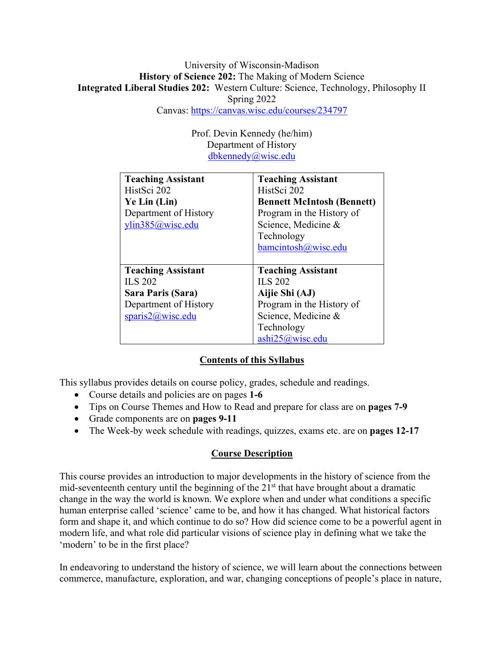# University of Wisconsin-Madison **History of Science 202:** The Making of Modern Science **Integrated Liberal Studies 202:** Western Culture: Science, Technology, Philosophy II Spring 2022

Canvas: https://canvas.wisc.edu/courses/234797

Prof. Devin Kennedy (he/him) Department of History dbkennedy@wisc.edu

| <b>Teaching Assistant</b> | <b>Teaching Assistant</b>         |
|---------------------------|-----------------------------------|
| HistSci 202               | HistSci 202                       |
| Ye Lin (Lin)              | <b>Bennett McIntosh (Bennett)</b> |
| Department of History     | Program in the History of         |
| ylin385@wisc.edu          | Science, Medicine &               |
|                           | Technology                        |
|                           | bamcintosh@wisc.edu               |
|                           |                                   |
|                           |                                   |
| <b>Teaching Assistant</b> | <b>Teaching Assistant</b>         |
| <b>ILS 202</b>            | <b>ILS 202</b>                    |
| Sara Paris (Sara)         | Aijie Shi (AJ)                    |
| Department of History     | Program in the History of         |
| sparis2@wisc.edu          | Science, Medicine &               |
|                           | Technology                        |

# **Contents of this Syllabus**

This syllabus provides details on course policy, grades, schedule and readings.

- Course details and policies are on pages **1-6**
- Tips on Course Themes and How to Read and prepare for class are on **pages 7-9**
- Grade components are on **pages 9-11**
- The Week-by week schedule with readings, quizzes, exams etc. are on **pages 12-17**

# **Course Description**

This course provides an introduction to major developments in the history of science from the mid-seventeenth century until the beginning of the  $21<sup>st</sup>$  that have brought about a dramatic change in the way the world is known. We explore when and under what conditions a specific human enterprise called 'science' came to be, and how it has changed. What historical factors form and shape it, and which continue to do so? How did science come to be a powerful agent in modern life, and what role did particular visions of science play in defining what we take the 'modern' to be in the first place?

In endeavoring to understand the history of science, we will learn about the connections between commerce, manufacture, exploration, and war, changing conceptions of people's place in nature,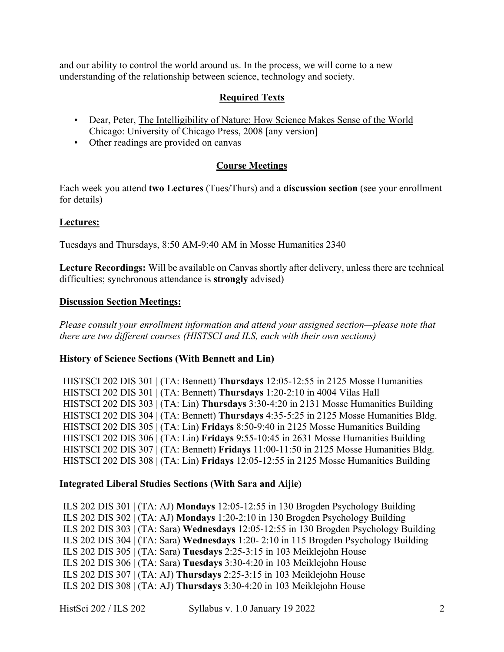and our ability to control the world around us. In the process, we will come to a new understanding of the relationship between science, technology and society.

# **Required Texts**

- Dear, Peter, The Intelligibility of Nature: How Science Makes Sense of the World Chicago: University of Chicago Press, 2008 [any version]
- Other readings are provided on canvas

# **Course Meetings**

Each week you attend **two Lectures** (Tues/Thurs) and a **discussion section** (see your enrollment for details)

#### **Lectures:**

Tuesdays and Thursdays, 8:50 AM-9:40 AM in Mosse Humanities 2340

**Lecture Recordings:** Will be available on Canvas shortly after delivery, unless there are technical difficulties; synchronous attendance is **strongly** advised)

#### **Discussion Section Meetings:**

*Please consult your enrollment information and attend your assigned section—please note that there are two different courses (HISTSCI and ILS, each with their own sections)*

#### **History of Science Sections (With Bennett and Lin)**

HISTSCI 202 DIS 301 | (TA: Bennett) **Thursdays** 12:05-12:55 in 2125 Mosse Humanities HISTSCI 202 DIS 301 | (TA: Bennett) **Thursdays** 1:20-2:10 in 4004 Vilas Hall HISTSCI 202 DIS 303 | (TA: Lin) **Thursdays** 3:30-4:20 in 2131 Mosse Humanities Building HISTSCI 202 DIS 304 | (TA: Bennett) **Thursdays** 4:35-5:25 in 2125 Mosse Humanities Bldg. HISTSCI 202 DIS 305 | (TA: Lin) **Fridays** 8:50-9:40 in 2125 Mosse Humanities Building HISTSCI 202 DIS 306 | (TA: Lin) **Fridays** 9:55-10:45 in 2631 Mosse Humanities Building HISTSCI 202 DIS 307 | (TA: Bennett) **Fridays** 11:00-11:50 in 2125 Mosse Humanities Bldg. HISTSCI 202 DIS 308 | (TA: Lin) **Fridays** 12:05-12:55 in 2125 Mosse Humanities Building

#### **Integrated Liberal Studies Sections (With Sara and Aijie)**

ILS 202 DIS 301 | (TA: AJ) **Mondays** 12:05-12:55 in 130 Brogden Psychology Building ILS 202 DIS 302 | (TA: AJ) **Mondays** 1:20-2:10 in 130 Brogden Psychology Building ILS 202 DIS 303 | (TA: Sara) **Wednesdays** 12:05-12:55 in 130 Brogden Psychology Building ILS 202 DIS 304 | (TA: Sara) **Wednesdays** 1:20- 2:10 in 115 Brogden Psychology Building ILS 202 DIS 305 | (TA: Sara) **Tuesdays** 2:25-3:15 in 103 Meiklejohn House ILS 202 DIS 306 | (TA: Sara) **Tuesdays** 3:30-4:20 in 103 Meiklejohn House ILS 202 DIS 307 | (TA: AJ) **Thursdays** 2:25-3:15 in 103 Meiklejohn House ILS 202 DIS 308 | (TA: AJ) **Thursdays** 3:30-4:20 in 103 Meiklejohn House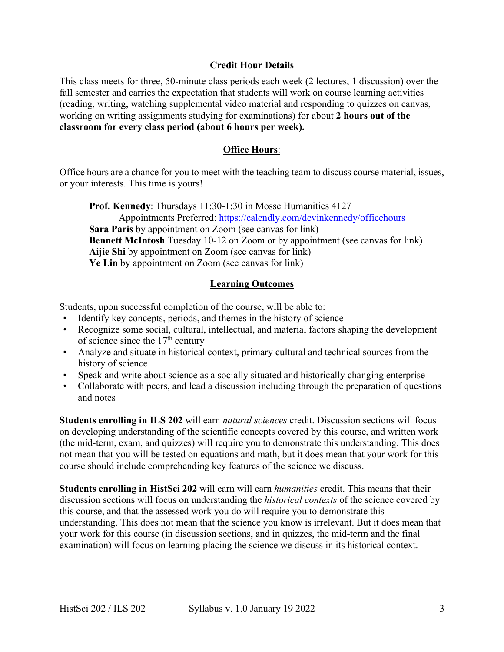# **Credit Hour Details**

This class meets for three, 50-minute class periods each week (2 lectures, 1 discussion) over the fall semester and carries the expectation that students will work on course learning activities (reading, writing, watching supplemental video material and responding to quizzes on canvas, working on writing assignments studying for examinations) for about **2 hours out of the classroom for every class period (about 6 hours per week).** 

## **Office Hours**:

Office hours are a chance for you to meet with the teaching team to discuss course material, issues, or your interests. This time is yours!

**Prof. Kennedy**: Thursdays 11:30-1:30 in Mosse Humanities 4127 Appointments Preferred: https://calendly.com/devinkennedy/officehours **Sara Paris** by appointment on Zoom (see canvas for link) **Bennett McIntosh** Tuesday 10-12 on Zoom or by appointment (see canvas for link) **Aijie Shi** by appointment on Zoom (see canvas for link) **Ye Lin** by appointment on Zoom (see canvas for link)

## **Learning Outcomes**

Students, upon successful completion of the course, will be able to:

- Identify key concepts, periods, and themes in the history of science
- Recognize some social, cultural, intellectual, and material factors shaping the development of science since the 17th century
- Analyze and situate in historical context, primary cultural and technical sources from the history of science
- Speak and write about science as a socially situated and historically changing enterprise
- Collaborate with peers, and lead a discussion including through the preparation of questions and notes

**Students enrolling in ILS 202** will earn *natural sciences* credit. Discussion sections will focus on developing understanding of the scientific concepts covered by this course, and written work (the mid-term, exam, and quizzes) will require you to demonstrate this understanding. This does not mean that you will be tested on equations and math, but it does mean that your work for this course should include comprehending key features of the science we discuss.

**Students enrolling in HistSci 202** will earn will earn *humanities* credit. This means that their discussion sections will focus on understanding the *historical contexts* of the science covered by this course, and that the assessed work you do will require you to demonstrate this understanding. This does not mean that the science you know is irrelevant. But it does mean that your work for this course (in discussion sections, and in quizzes, the mid-term and the final examination) will focus on learning placing the science we discuss in its historical context.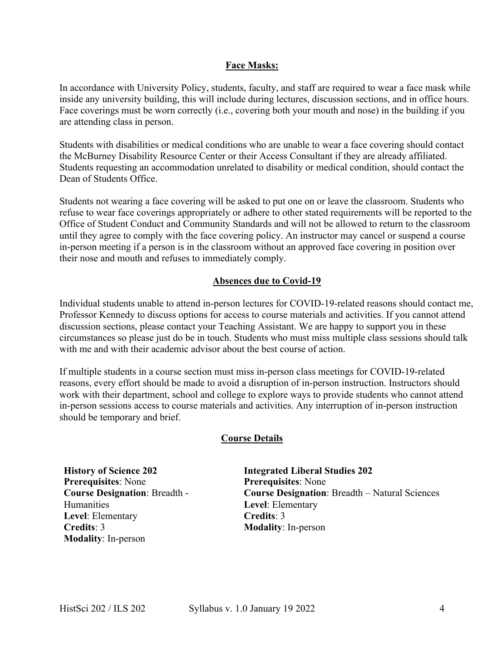## **Face Masks:**

In accordance with University Policy, students, faculty, and staff are required to wear a face mask while inside any university building, this will include during lectures, discussion sections, and in office hours. Face coverings must be worn correctly (i.e., covering both your mouth and nose) in the building if you are attending class in person.

Students with disabilities or medical conditions who are unable to wear a face covering should contact the McBurney Disability Resource Center or their Access Consultant if they are already affiliated. Students requesting an accommodation unrelated to disability or medical condition, should contact the Dean of Students Office.

Students not wearing a face covering will be asked to put one on or leave the classroom. Students who refuse to wear face coverings appropriately or adhere to other stated requirements will be reported to the Office of Student Conduct and Community Standards and will not be allowed to return to the classroom until they agree to comply with the face covering policy. An instructor may cancel or suspend a course in-person meeting if a person is in the classroom without an approved face covering in position over their nose and mouth and refuses to immediately comply.

# **Absences due to Covid-19**

Individual students unable to attend in-person lectures for COVID-19-related reasons should contact me, Professor Kennedy to discuss options for access to course materials and activities. If you cannot attend discussion sections, please contact your Teaching Assistant. We are happy to support you in these circumstances so please just do be in touch. Students who must miss multiple class sessions should talk with me and with their academic advisor about the best course of action.

If multiple students in a course section must miss in-person class meetings for COVID-19-related reasons, every effort should be made to avoid a disruption of in-person instruction. Instructors should work with their department, school and college to explore ways to provide students who cannot attend in-person sessions access to course materials and activities. Any interruption of in-person instruction should be temporary and brief.

#### **Course Details**

**History of Science 202 Prerequisites**: None **Course Designation**: Breadth - **Humanities Level**: Elementary **Credits**: 3 **Modality**: In-person

**Integrated Liberal Studies 202 Prerequisites**: None **Course Designation**: Breadth – Natural Sciences **Level**: Elementary **Credits**: 3 **Modality**: In-person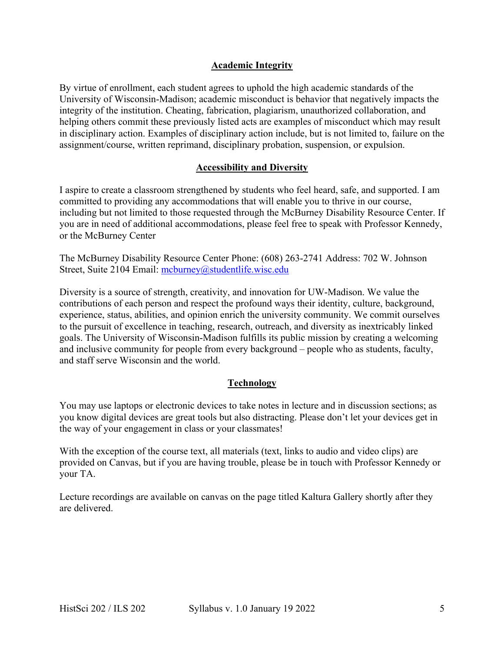# **Academic Integrity**

By virtue of enrollment, each student agrees to uphold the high academic standards of the University of Wisconsin-Madison; academic misconduct is behavior that negatively impacts the integrity of the institution. Cheating, fabrication, plagiarism, unauthorized collaboration, and helping others commit these previously listed acts are examples of misconduct which may result in disciplinary action. Examples of disciplinary action include, but is not limited to, failure on the assignment/course, written reprimand, disciplinary probation, suspension, or expulsion.

## **Accessibility and Diversity**

I aspire to create a classroom strengthened by students who feel heard, safe, and supported. I am committed to providing any accommodations that will enable you to thrive in our course, including but not limited to those requested through the McBurney Disability Resource Center. If you are in need of additional accommodations, please feel free to speak with Professor Kennedy, or the McBurney Center

The McBurney Disability Resource Center Phone: (608) 263-2741 Address: 702 W. Johnson Street, Suite 2104 Email: mcburney@studentlife.wisc.edu

Diversity is a source of strength, creativity, and innovation for UW-Madison. We value the contributions of each person and respect the profound ways their identity, culture, background, experience, status, abilities, and opinion enrich the university community. We commit ourselves to the pursuit of excellence in teaching, research, outreach, and diversity as inextricably linked goals. The University of Wisconsin-Madison fulfills its public mission by creating a welcoming and inclusive community for people from every background – people who as students, faculty, and staff serve Wisconsin and the world.

# **Technology**

You may use laptops or electronic devices to take notes in lecture and in discussion sections; as you know digital devices are great tools but also distracting. Please don't let your devices get in the way of your engagement in class or your classmates!

With the exception of the course text, all materials (text, links to audio and video clips) are provided on Canvas, but if you are having trouble, please be in touch with Professor Kennedy or your TA.

Lecture recordings are available on canvas on the page titled Kaltura Gallery shortly after they are delivered.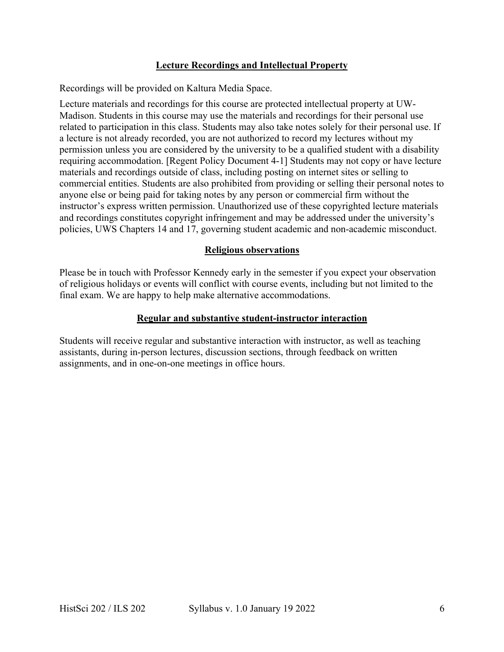# **Lecture Recordings and Intellectual Property**

Recordings will be provided on Kaltura Media Space.

Lecture materials and recordings for this course are protected intellectual property at UW-Madison. Students in this course may use the materials and recordings for their personal use related to participation in this class. Students may also take notes solely for their personal use. If a lecture is not already recorded, you are not authorized to record my lectures without my permission unless you are considered by the university to be a qualified student with a disability requiring accommodation. [Regent Policy Document 4-1] Students may not copy or have lecture materials and recordings outside of class, including posting on internet sites or selling to commercial entities. Students are also prohibited from providing or selling their personal notes to anyone else or being paid for taking notes by any person or commercial firm without the instructor's express written permission. Unauthorized use of these copyrighted lecture materials and recordings constitutes copyright infringement and may be addressed under the university's policies, UWS Chapters 14 and 17, governing student academic and non-academic misconduct.

## **Religious observations**

Please be in touch with Professor Kennedy early in the semester if you expect your observation of religious holidays or events will conflict with course events, including but not limited to the final exam. We are happy to help make alternative accommodations.

#### **Regular and substantive student-instructor interaction**

Students will receive regular and substantive interaction with instructor, as well as teaching assistants, during in-person lectures, discussion sections, through feedback on written assignments, and in one-on-one meetings in office hours.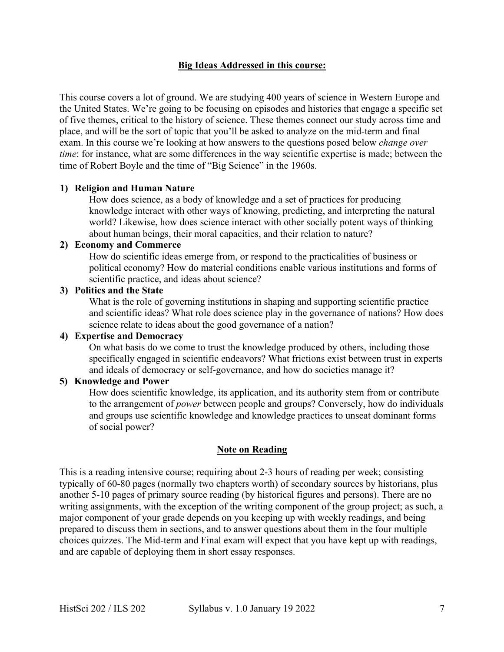## **Big Ideas Addressed in this course:**

This course covers a lot of ground. We are studying 400 years of science in Western Europe and the United States. We're going to be focusing on episodes and histories that engage a specific set of five themes, critical to the history of science. These themes connect our study across time and place, and will be the sort of topic that you'll be asked to analyze on the mid-term and final exam. In this course we're looking at how answers to the questions posed below *change over time*: for instance, what are some differences in the way scientific expertise is made; between the time of Robert Boyle and the time of "Big Science" in the 1960s.

#### **1) Religion and Human Nature**

How does science, as a body of knowledge and a set of practices for producing knowledge interact with other ways of knowing, predicting, and interpreting the natural world? Likewise, how does science interact with other socially potent ways of thinking about human beings, their moral capacities, and their relation to nature?

#### **2) Economy and Commerce**

How do scientific ideas emerge from, or respond to the practicalities of business or political economy? How do material conditions enable various institutions and forms of scientific practice, and ideas about science?

#### **3) Politics and the State**

What is the role of governing institutions in shaping and supporting scientific practice and scientific ideas? What role does science play in the governance of nations? How does science relate to ideas about the good governance of a nation?

# **4) Expertise and Democracy**

On what basis do we come to trust the knowledge produced by others, including those specifically engaged in scientific endeavors? What frictions exist between trust in experts and ideals of democracy or self-governance, and how do societies manage it?

#### **5) Knowledge and Power**

How does scientific knowledge, its application, and its authority stem from or contribute to the arrangement of *power* between people and groups? Conversely, how do individuals and groups use scientific knowledge and knowledge practices to unseat dominant forms of social power?

#### **Note on Reading**

This is a reading intensive course; requiring about 2-3 hours of reading per week; consisting typically of 60-80 pages (normally two chapters worth) of secondary sources by historians, plus another 5-10 pages of primary source reading (by historical figures and persons). There are no writing assignments, with the exception of the writing component of the group project; as such, a major component of your grade depends on you keeping up with weekly readings, and being prepared to discuss them in sections, and to answer questions about them in the four multiple choices quizzes. The Mid-term and Final exam will expect that you have kept up with readings, and are capable of deploying them in short essay responses.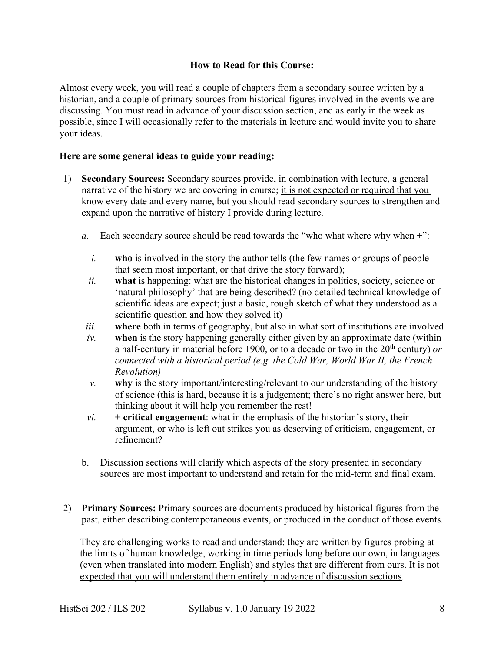# **How to Read for this Course:**

Almost every week, you will read a couple of chapters from a secondary source written by a historian, and a couple of primary sources from historical figures involved in the events we are discussing. You must read in advance of your discussion section, and as early in the week as possible, since I will occasionally refer to the materials in lecture and would invite you to share your ideas.

## **Here are some general ideas to guide your reading:**

- 1) **Secondary Sources:** Secondary sources provide, in combination with lecture, a general narrative of the history we are covering in course; it is not expected or required that you know every date and every name, but you should read secondary sources to strengthen and expand upon the narrative of history I provide during lecture.
	- *a.* Each secondary source should be read towards the "who what where why when +":
		- *i.* **who** is involved in the story the author tells (the few names or groups of people that seem most important, or that drive the story forward);
		- *ii.* **what** is happening: what are the historical changes in politics, society, science or 'natural philosophy' that are being described? (no detailed technical knowledge of scientific ideas are expect; just a basic, rough sketch of what they understood as a scientific question and how they solved it)
		- *iii.* **where** both in terms of geography, but also in what sort of institutions are involved
		- *iv.* **when** is the story happening generally either given by an approximate date (within a half-century in material before 1900, or to a decade or two in the 20<sup>th</sup> century) *or connected with a historical period (e.g. the Cold War, World War II, the French Revolution)*
		- *v.* **why** is the story important/interesting/relevant to our understanding of the history of science (this is hard, because it is a judgement; there's no right answer here, but thinking about it will help you remember the rest!
		- $vi.$  **+ critical engagement**: what in the emphasis of the historian's story, their argument, or who is left out strikes you as deserving of criticism, engagement, or refinement?
	- b. Discussion sections will clarify which aspects of the story presented in secondary sources are most important to understand and retain for the mid-term and final exam.
- 2) **Primary Sources:** Primary sources are documents produced by historical figures from the past, either describing contemporaneous events, or produced in the conduct of those events.

They are challenging works to read and understand: they are written by figures probing at the limits of human knowledge, working in time periods long before our own, in languages (even when translated into modern English) and styles that are different from ours. It is not expected that you will understand them entirely in advance of discussion sections.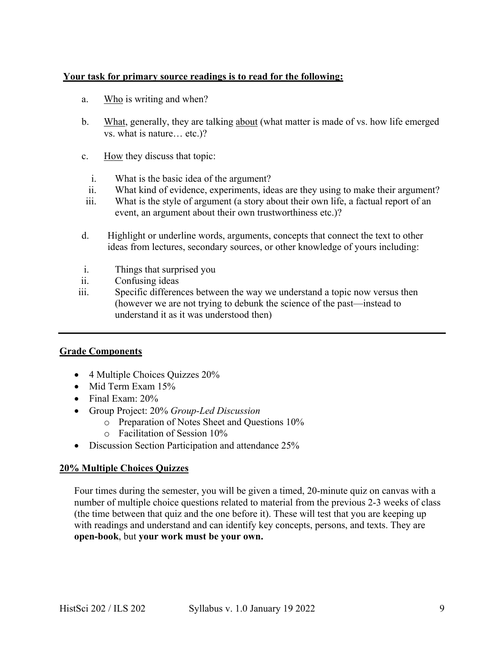# **Your task for primary source readings is to read for the following:**

- a. Who is writing and when?
- b. What, generally, they are talking about (what matter is made of vs. how life emerged vs. what is nature… etc.)?
- c. How they discuss that topic:
	- i. What is the basic idea of the argument?
	- ii. What kind of evidence, experiments, ideas are they using to make their argument?
- iii. What is the style of argument (a story about their own life, a factual report of an event, an argument about their own trustworthiness etc.)?
- d. Highlight or underline words, arguments, concepts that connect the text to other ideas from lectures, secondary sources, or other knowledge of yours including:
- i. Things that surprised you
- ii. Confusing ideas
- iii. Specific differences between the way we understand a topic now versus then (however we are not trying to debunk the science of the past—instead to understand it as it was understood then)

# **Grade Components**

- 4 Multiple Choices Quizzes 20%
- Mid Term Exam 15%
- Final Exam: 20%
- Group Project: 20% *Group-Led Discussion*
	- o Preparation of Notes Sheet and Questions 10%
	- o Facilitation of Session 10%
- Discussion Section Participation and attendance 25%

#### **20% Multiple Choices Quizzes**

Four times during the semester, you will be given a timed, 20-minute quiz on canvas with a number of multiple choice questions related to material from the previous 2-3 weeks of class (the time between that quiz and the one before it). These will test that you are keeping up with readings and understand and can identify key concepts, persons, and texts. They are **open-book**, but **your work must be your own.**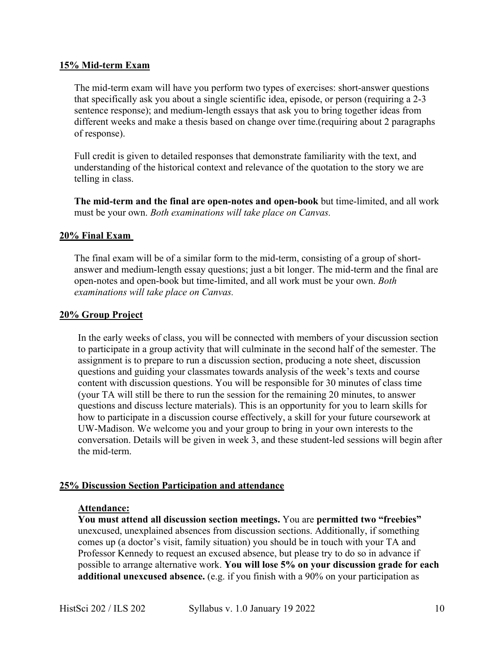#### **15% Mid-term Exam**

The mid-term exam will have you perform two types of exercises: short-answer questions that specifically ask you about a single scientific idea, episode, or person (requiring a 2-3 sentence response); and medium-length essays that ask you to bring together ideas from different weeks and make a thesis based on change over time.(requiring about 2 paragraphs of response).

Full credit is given to detailed responses that demonstrate familiarity with the text, and understanding of the historical context and relevance of the quotation to the story we are telling in class.

**The mid-term and the final are open-notes and open-book** but time-limited, and all work must be your own. *Both examinations will take place on Canvas.*

#### **20% Final Exam**

The final exam will be of a similar form to the mid-term, consisting of a group of shortanswer and medium-length essay questions; just a bit longer. The mid-term and the final are open-notes and open-book but time-limited, and all work must be your own. *Both examinations will take place on Canvas.*

#### **20% Group Project**

In the early weeks of class, you will be connected with members of your discussion section to participate in a group activity that will culminate in the second half of the semester. The assignment is to prepare to run a discussion section, producing a note sheet, discussion questions and guiding your classmates towards analysis of the week's texts and course content with discussion questions. You will be responsible for 30 minutes of class time (your TA will still be there to run the session for the remaining 20 minutes, to answer questions and discuss lecture materials). This is an opportunity for you to learn skills for how to participate in a discussion course effectively, a skill for your future coursework at UW-Madison. We welcome you and your group to bring in your own interests to the conversation. Details will be given in week 3, and these student-led sessions will begin after the mid-term.

#### **25% Discussion Section Participation and attendance**

## **Attendance:**

**You must attend all discussion section meetings.** You are **permitted two "freebies"** unexcused, unexplained absences from discussion sections. Additionally, if something comes up (a doctor's visit, family situation) you should be in touch with your TA and Professor Kennedy to request an excused absence, but please try to do so in advance if possible to arrange alternative work. **You will lose 5% on your discussion grade for each additional unexcused absence.** (e.g. if you finish with a 90% on your participation as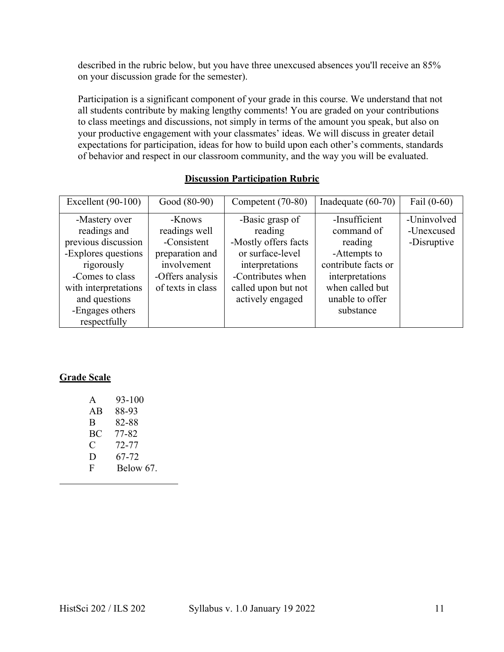described in the rubric below, but you have three unexcused absences you'll receive an 85% on your discussion grade for the semester).

Participation is a significant component of your grade in this course. We understand that not all students contribute by making lengthy comments! You are graded on your contributions to class meetings and discussions, not simply in terms of the amount you speak, but also on your productive engagement with your classmates' ideas. We will discuss in greater detail expectations for participation, ideas for how to build upon each other's comments, standards of behavior and respect in our classroom community, and the way you will be evaluated.

| Excellent $(90-100)$ | Good (80-90)      | Competent (70-80)    | Inadequate $(60-70)$ | Fail $(0-60)$ |
|----------------------|-------------------|----------------------|----------------------|---------------|
| -Mastery over        | -Knows            | -Basic grasp of      | -Insufficient        | -Uninvolved   |
| readings and         | readings well     | reading              | command of           | -Unexcused    |
| previous discussion  | -Consistent       | -Mostly offers facts | reading              | -Disruptive   |
| -Explores questions  | preparation and   | or surface-level     | -Attempts to         |               |
| rigorously           | involvement       | interpretations      | contribute facts or  |               |
| -Comes to class      | -Offers analysis  | -Contributes when    | interpretations      |               |
| with interpretations | of texts in class | called upon but not  | when called but      |               |
| and questions        |                   | actively engaged     | unable to offer      |               |
| -Engages others      |                   |                      | substance            |               |
| respectfully         |                   |                      |                      |               |

# **Discussion Participation Rubric**

# **Grade Scale**

| $\mathsf{A}$ | 93-100    |
|--------------|-----------|
| AB           | 88-93     |
| B            | 82-88     |
| BC           | 77-82     |
| C            | 72-77     |
| D            | 67-72     |
| F            | Below 67. |
|              |           |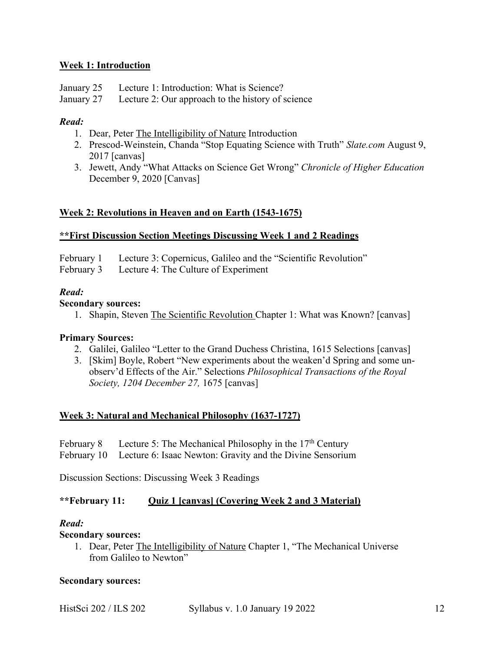# **Week 1: Introduction**

- January 25 Lecture 1: Introduction: What is Science?
- January 27 Lecture 2: Our approach to the history of science

## *Read:*

- 1. Dear, Peter The Intelligibility of Nature Introduction
- 2. Prescod-Weinstein, Chanda "Stop Equating Science with Truth" *Slate.com* August 9, 2017 [canvas]
- 3. Jewett, Andy "What Attacks on Science Get Wrong" *Chronicle of Higher Education*  December 9, 2020 [Canvas]

## **Week 2: Revolutions in Heaven and on Earth (1543-1675)**

#### **\*\*First Discussion Section Meetings Discussing Week 1 and 2 Readings**

- February 1 Lecture 3: Copernicus, Galileo and the "Scientific Revolution"
- February 3 Lecture 4: The Culture of Experiment

#### *Read:*

#### **Secondary sources:**

1. Shapin, Steven The Scientific Revolution Chapter 1: What was Known? [canvas]

#### **Primary Sources:**

- 2. Galilei, Galileo "Letter to the Grand Duchess Christina, 1615 Selections [canvas]
- 3. [Skim] Boyle, Robert "New experiments about the weaken'd Spring and some unobserv'd Effects of the Air." Selections *Philosophical Transactions of the Royal Society, 1204 December 27,* 1675 [canvas]

#### **Week 3: Natural and Mechanical Philosophy (1637-1727)**

# February 8 Lecture 5: The Mechanical Philosophy in the  $17<sup>th</sup>$  Century

February 10 Lecture 6: Isaac Newton: Gravity and the Divine Sensorium

Discussion Sections: Discussing Week 3 Readings

#### **\*\*February 11: Quiz 1 [canvas] (Covering Week 2 and 3 Material)**

#### *Read:*

#### **Secondary sources:**

1. Dear, Peter The Intelligibility of Nature Chapter 1, "The Mechanical Universe from Galileo to Newton"

#### **Secondary sources:**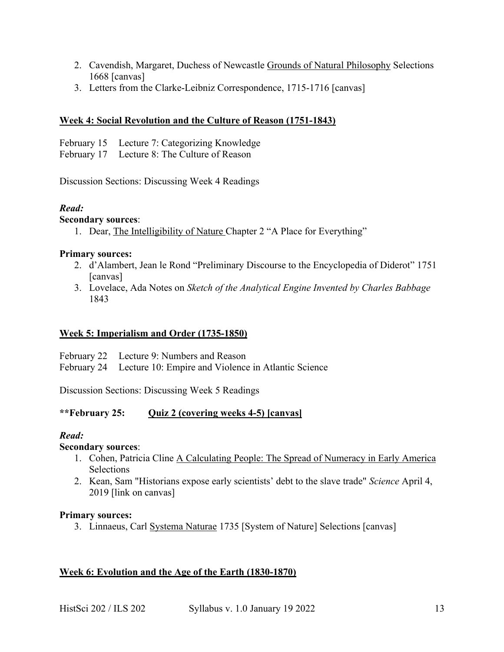- 2. Cavendish, Margaret, Duchess of Newcastle Grounds of Natural Philosophy Selections 1668 [canvas]
- 3. Letters from the Clarke-Leibniz Correspondence, 1715-1716 [canvas]

# **Week 4: Social Revolution and the Culture of Reason (1751-1843)**

February 15 Lecture 7: Categorizing Knowledge

February 17 Lecture 8: The Culture of Reason

Discussion Sections: Discussing Week 4 Readings

# *Read:*

# **Secondary sources**:

1. Dear, The Intelligibility of Nature Chapter 2 "A Place for Everything"

# **Primary sources:**

- 2. d'Alambert, Jean le Rond "Preliminary Discourse to the Encyclopedia of Diderot" 1751 [canvas]
- 3. Lovelace, Ada Notes on *Sketch of the Analytical Engine Invented by Charles Babbage* 1843

# **Week 5: Imperialism and Order (1735-1850)**

- February 22 Lecture 9: Numbers and Reason
- February 24 Lecture 10: Empire and Violence in Atlantic Science

Discussion Sections: Discussing Week 5 Readings

# **\*\*February 25: Quiz 2 (covering weeks 4-5) [canvas]**

# *Read:*

# **Secondary sources**:

- 1. Cohen, Patricia Cline A Calculating People: The Spread of Numeracy in Early America **Selections**
- 2. Kean, Sam "Historians expose early scientists' debt to the slave trade" *Science* April 4, 2019 [link on canvas]

# **Primary sources:**

3. Linnaeus, Carl Systema Naturae 1735 [System of Nature] Selections [canvas]

# **Week 6: Evolution and the Age of the Earth (1830-1870)**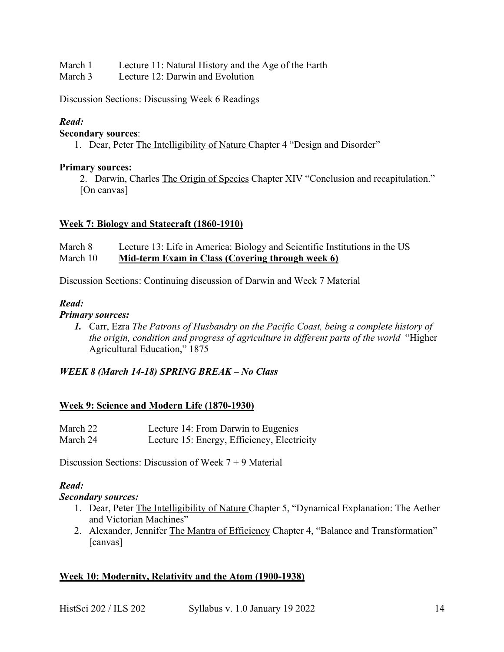- March 1 Lecture 11: Natural History and the Age of the Earth
- March 3 Lecture 12: Darwin and Evolution

Discussion Sections: Discussing Week 6 Readings

# *Read:*

## **Secondary sources**:

1. Dear, Peter The Intelligibility of Nature Chapter 4 "Design and Disorder"

## **Primary sources:**

2. Darwin, Charles The Origin of Species Chapter XIV "Conclusion and recapitulation." [On canvas]

# **Week 7: Biology and Statecraft (1860-1910)**

March 8 Lecture 13: Life in America: Biology and Scientific Institutions in the US March 10 **Mid-term Exam in Class (Covering through week 6)**

Discussion Sections: Continuing discussion of Darwin and Week 7 Material

## *Read:*

## *Primary sources:*

*1.* Carr, Ezra *The Patrons of Husbandry on the Pacific Coast, being a complete history of the origin, condition and progress of agriculture in different parts of the world* "Higher Agricultural Education," 1875

# *WEEK 8 (March 14-18) SPRING BREAK – No Class*

# **Week 9: Science and Modern Life (1870-1930)**

| March 22 | Lecture 14: From Darwin to Eugenics         |
|----------|---------------------------------------------|
| March 24 | Lecture 15: Energy, Efficiency, Electricity |

Discussion Sections: Discussion of Week 7 + 9 Material

# *Read:*

#### *Secondary sources:*

- 1. Dear, Peter The Intelligibility of Nature Chapter 5, "Dynamical Explanation: The Aether and Victorian Machines"
- 2. Alexander, Jennifer The Mantra of Efficiency Chapter 4, "Balance and Transformation" [canvas]

# **Week 10: Modernity, Relativity and the Atom (1900-1938)**

HistSci 202 / ILS 202 Syllabus v. 1.0 January 19 2022 14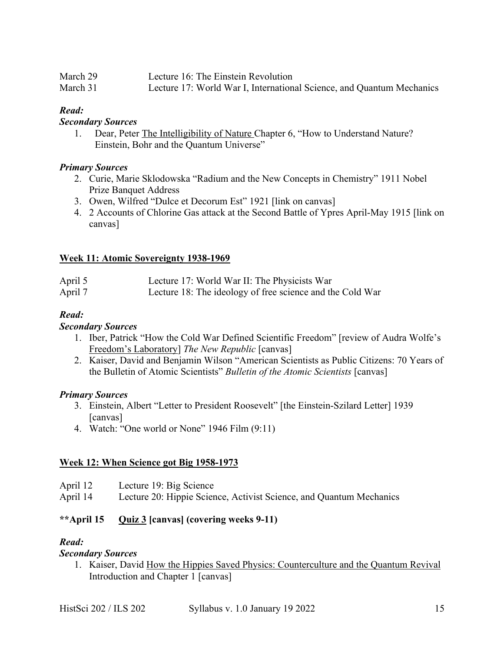| March 29 | Lecture 16: The Einstein Revolution                                   |
|----------|-----------------------------------------------------------------------|
| March 31 | Lecture 17: World War I, International Science, and Quantum Mechanics |

# *Read:*

## *Secondary Sources*

1. Dear, Peter The Intelligibility of Nature Chapter 6, "How to Understand Nature? Einstein, Bohr and the Quantum Universe"

## *Primary Sources*

- 2. Curie, Marie Sklodowska "Radium and the New Concepts in Chemistry" 1911 Nobel Prize Banquet Address
- 3. Owen, Wilfred "Dulce et Decorum Est" 1921 [link on canvas]
- 4. 2 Accounts of Chlorine Gas attack at the Second Battle of Ypres April-May 1915 [link on canvas]

# **Week 11: Atomic Sovereignty 1938-1969**

| April 5 | Lecture 17: World War II: The Physicists War              |
|---------|-----------------------------------------------------------|
| April 7 | Lecture 18: The ideology of free science and the Cold War |

# *Read:*

## *Secondary Sources*

- 1. Iber, Patrick "How the Cold War Defined Scientific Freedom" [review of Audra Wolfe's Freedom's Laboratory] *The New Republic* [canvas]
- 2. Kaiser, David and Benjamin Wilson "American Scientists as Public Citizens: 70 Years of the Bulletin of Atomic Scientists" *Bulletin of the Atomic Scientists* [canvas]

# *Primary Sources*

- 3. Einstein, Albert "Letter to President Roosevelt" [the Einstein-Szilard Letter] 1939 [canvas]
- 4. Watch: "One world or None" 1946 Film (9:11)

# **Week 12: When Science got Big 1958-1973**

- April 12 Lecture 19: Big Science
- April 14 Lecture 20: Hippie Science, Activist Science, and Quantum Mechanics

# **\*\*April 15 Quiz 3 [canvas] (covering weeks 9-11)**

# *Read:*

# *Secondary Sources*

1. Kaiser, David How the Hippies Saved Physics: Counterculture and the Quantum Revival Introduction and Chapter 1 [canvas]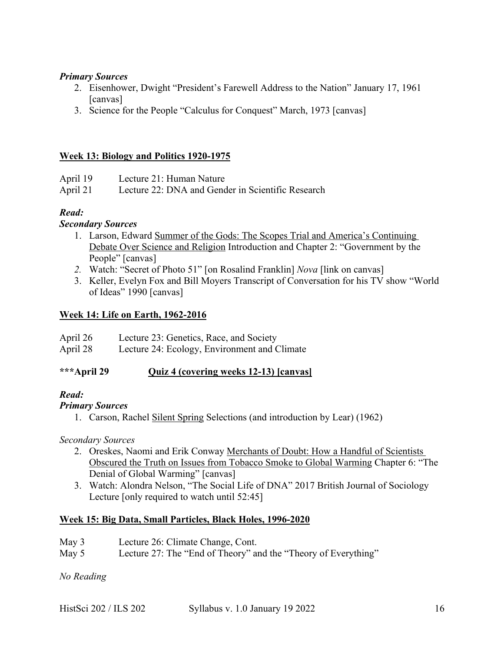## *Primary Sources*

- 2. Eisenhower, Dwight "President's Farewell Address to the Nation" January 17, 1961 [canvas]
- 3. Science for the People "Calculus for Conquest" March, 1973 [canvas]

## **Week 13: Biology and Politics 1920-1975**

| April 19 | Lecture 21: Human Nature                          |
|----------|---------------------------------------------------|
| April 21 | Lecture 22: DNA and Gender in Scientific Research |

# *Read:*

## *Secondary Sources*

- 1. Larson, Edward Summer of the Gods: The Scopes Trial and America's Continuing Debate Over Science and Religion Introduction and Chapter 2: "Government by the People" [canvas]
- *2.* Watch: "Secret of Photo 51" [on Rosalind Franklin] *Nova* [link on canvas]
- 3. Keller, Evelyn Fox and Bill Moyers Transcript of Conversation for his TV show "World of Ideas" 1990 [canvas]

## **Week 14: Life on Earth, 1962-2016**

| April 26 | Lecture 23: Genetics, Race, and Society      |
|----------|----------------------------------------------|
| April 28 | Lecture 24: Ecology, Environment and Climate |

#### **\*\*\*April 29 Quiz 4 (covering weeks 12-13) [canvas]**

# *Read:*

#### *Primary Sources*

1. Carson, Rachel Silent Spring Selections (and introduction by Lear) (1962)

#### *Secondary Sources*

- 2. Oreskes, Naomi and Erik Conway Merchants of Doubt: How a Handful of Scientists Obscured the Truth on Issues from Tobacco Smoke to Global Warming Chapter 6: "The Denial of Global Warming" [canvas]
- 3. Watch: Alondra Nelson, "The Social Life of DNA" 2017 British Journal of Sociology Lecture [only required to watch until 52:45]

#### **Week 15: Big Data, Small Particles, Black Holes, 1996-2020**

May 3 Lecture 26: Climate Change, Cont.

May 5 Lecture 27: The "End of Theory" and the "Theory of Everything"

*No Reading*

| HistSci 202 / ILS 202 | Syllabus v. 1.0 January 19 2022 |  |
|-----------------------|---------------------------------|--|
|-----------------------|---------------------------------|--|